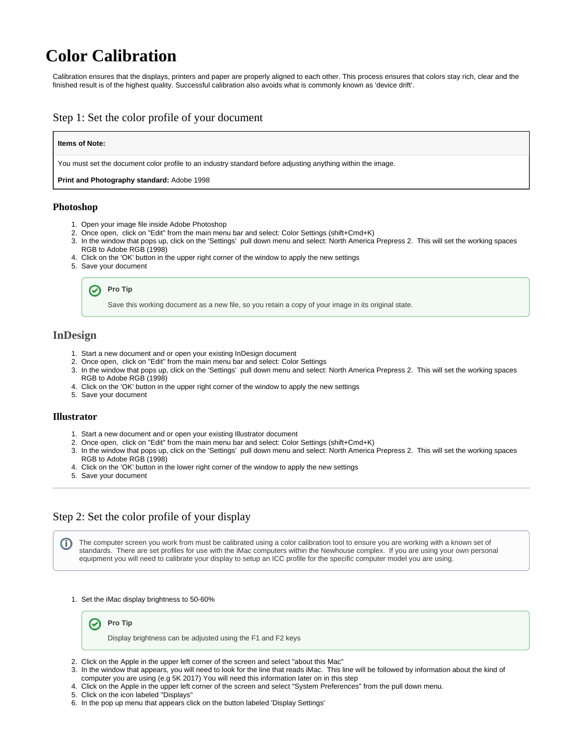# **Color Calibration**

Calibration ensures that the displays, printers and paper are properly aligned to each other. This process ensures that colors stay rich, clear and the finished result is of the highest quality. Successful calibration also avoids what is commonly known as 'device drift'.

## Step 1: Set the color profile of your document

#### **Items of Note:**

You must set the document color profile to an industry standard before adjusting anything within the image.

**Print and Photography standard:** Adobe 1998

#### **Photoshop**

- 1. Open your image file inside Adobe Photoshop
- 2. Once open, click on "Edit" from the main menu bar and select: Color Settings (shift+Cmd+K)
- 3. In the window that pops up, click on the 'Settings' pull down menu and select: North America Prepress 2. This will set the working spaces RGB to Adobe RGB (1998)
- 4. Click on the 'OK' button in the upper right corner of the window to apply the new settings
- 5. Save your document



Save this working document as a new file, so you retain a copy of your image in its original state.

## **InDesign**

- 1. Start a new document and or open your existing InDesign document
- 2. Once open, click on "Edit" from the main menu bar and select: Color Settings
- 3. In the window that pops up, click on the 'Settings' pull down menu and select: North America Prepress 2. This will set the working spaces RGB to Adobe RGB (1998)
- 4. Click on the 'OK' button in the upper right corner of the window to apply the new settings
- 5. Save your document

#### **Illustrator**

- 1. Start a new document and or open your existing Illustrator document
- 2. Once open, click on "Edit" from the main menu bar and select: Color Settings (shift+Cmd+K)
- 3. In the window that pops up, click on the 'Settings' pull down menu and select: North America Prepress 2. This will set the working spaces RGB to Adobe RGB (1998)
- 4. Click on the 'OK' button in the lower right corner of the window to apply the new settings
- 5. Save your document

### Step 2: Set the color profile of your display

The computer screen you work from must be calibrated using a color calibration tool to ensure you are working with a known set of (i) standards. There are set profiles for use with the iMac computers within the Newhouse complex. If you are using your own personal equipment you will need to calibrate your display to setup an ICC profile for the specific computer model you are using.

1. Set the iMac display brightness to 50-60%



- 2. Click on the Apple in the upper left corner of the screen and select "about this Mac"
- 3. In the window that appears, you will need to look for the line that reads iMac. This line will be followed by information about the kind of computer you are using (e.g 5K 2017) You will need this information later on in this step
- 4. Click on the Apple in the upper left corner of the screen and select "System Preferences" from the pull down menu.
- 5. Click on the icon labeled "Displays"
- 6. In the pop up menu that appears click on the button labeled 'Display Settings'